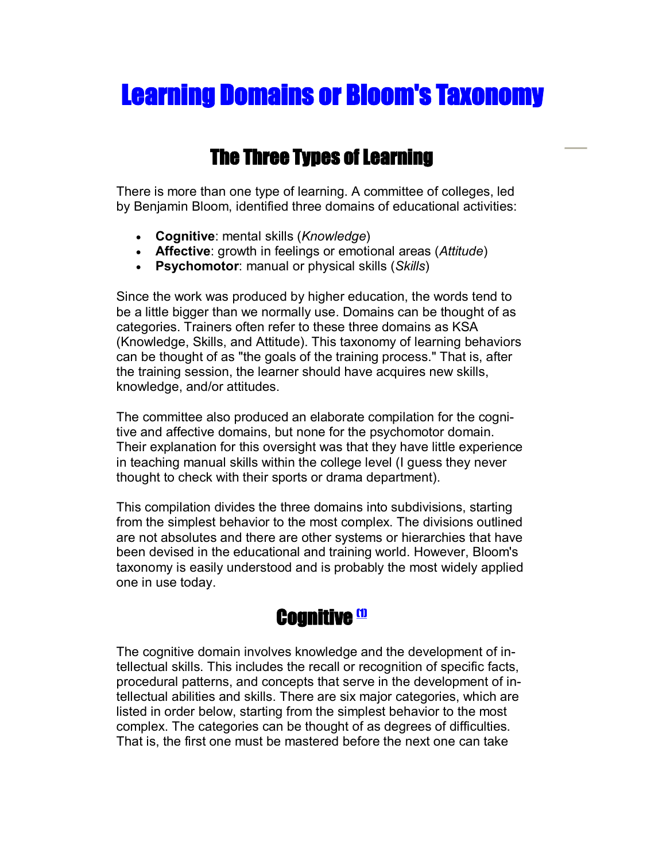# Learning Domains or Bloom's Taxonomy

# The Three Types of Learning

There is more than one type of learning. A committee of colleges, led by Benjamin Bloom, identified three domains of educational activities:

- · **Cognitive**: mental skills (*Knowledge*)
- · **Affective**: growth in feelings or emotional areas (*Attitude*)
- · **Psychomotor**: manual or physical skills (*Skills*)

Since the work was produced by higher education, the words tend to be a little bigger than we normally use. Domains can be thought of as categories. Trainers often refer to these three domains as KSA (Knowledge, Skills, and Attitude). This taxonomy of learning behaviors can be thought of as "the goals of the training process." That is, after the training session, the learner should have acquires new skills, knowledge, and/or attitudes.

The committee also produced an elaborate compilation for the cognitive and affective domains, but none for the psychomotor domain. Their explanation for this oversight was that they have little experience in teaching manual skills within the college level (I guess they never thought to check with their sports or drama department).

This compilation divides the three domains into subdivisions, starting from the simplest behavior to the most complex. The divisions outlined are not absolutes and there are other systems or hierarchies that have been devised in the educational and training world. However, Bloom's taxonomy is easily understood and is probably the most widely applied one in use today.

# Cognitive <mark>®</mark>

The cognitive domain involves knowledge and the development of intellectual skills. This includes the recall or recognition of specific facts, procedural patterns, and concepts that serve in the development of intellectual abilities and skills. There are six major categories, which are listed in order below, starting from the simplest behavior to the most complex. The categories can be thought of as degrees of difficulties. That is, the first one must be mastered before the next one can take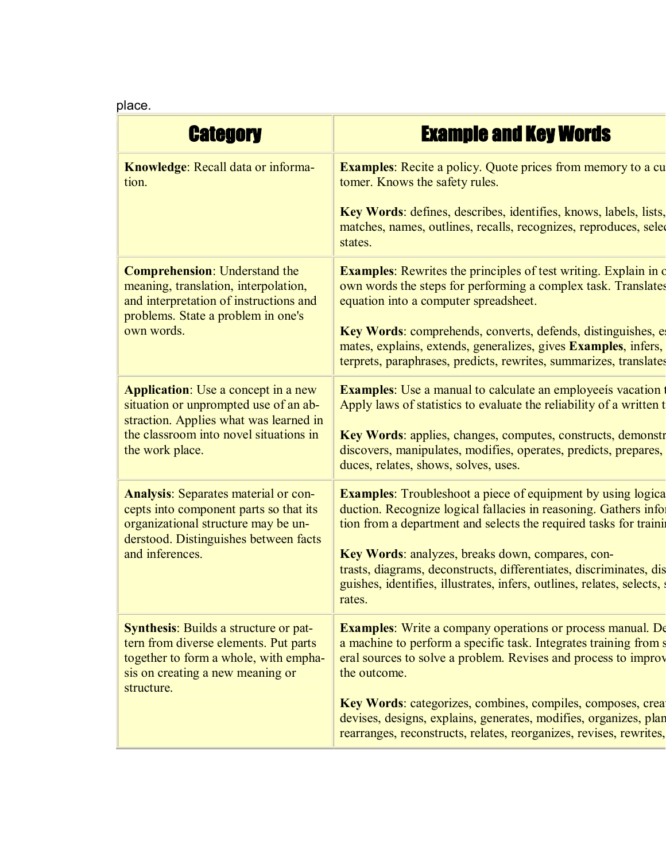| <b>Category</b>                                                                                                                                                                            | <b>Example and Key Words</b>                                                                                                                                                                                            |
|--------------------------------------------------------------------------------------------------------------------------------------------------------------------------------------------|-------------------------------------------------------------------------------------------------------------------------------------------------------------------------------------------------------------------------|
| Knowledge: Recall data or informa-<br>tion.                                                                                                                                                | <b>Examples:</b> Recite a policy. Quote prices from memory to a cu<br>tomer. Knows the safety rules.                                                                                                                    |
|                                                                                                                                                                                            | Key Words: defines, describes, identifies, knows, labels, lists,<br>matches, names, outlines, recalls, recognizes, reproduces, selection<br>states.                                                                     |
| <b>Comprehension: Understand the</b><br>meaning, translation, interpolation,<br>and interpretation of instructions and<br>problems. State a problem in one's<br>own words.                 | <b>Examples:</b> Rewrites the principles of test writing. Explain in d<br>own words the steps for performing a complex task. Translates<br>equation into a computer spreadsheet.                                        |
|                                                                                                                                                                                            | Key Words: comprehends, converts, defends, distinguishes, e<br>mates, explains, extends, generalizes, gives Examples, infers,<br>terprets, paraphrases, predicts, rewrites, summarizes, translates                      |
| <b>Application:</b> Use a concept in a new<br>situation or unprompted use of an ab-<br>straction. Applies what was learned in<br>the classroom into novel situations in<br>the work place. | <b>Examples:</b> Use a manual to calculate an employee is vacation<br>Apply laws of statistics to evaluate the reliability of a written t                                                                               |
|                                                                                                                                                                                            | Key Words: applies, changes, computes, constructs, demonstr<br>discovers, manipulates, modifies, operates, predicts, prepares,<br>duces, relates, shows, solves, uses.                                                  |
| <b>Analysis:</b> Separates material or con-<br>cepts into component parts so that its<br>organizational structure may be un-<br>derstood. Distinguishes between facts<br>and inferences.   | <b>Examples:</b> Troubleshoot a piece of equipment by using logica<br>duction. Recognize logical fallacies in reasoning. Gathers info<br>tion from a department and selects the required tasks for training             |
|                                                                                                                                                                                            | Key Words: analyzes, breaks down, compares, con-<br>trasts, diagrams, deconstructs, differentiates, discriminates, dis<br>guishes, identifies, illustrates, infers, outlines, relates, selects,<br>rates.               |
| <b>Synthesis:</b> Builds a structure or pat-<br>tern from diverse elements. Put parts<br>together to form a whole, with empha-<br>sis on creating a new meaning or<br>structure.           | <b>Examples:</b> Write a company operations or process manual. De<br>a machine to perform a specific task. Integrates training from s<br>eral sources to solve a problem. Revises and process to improv<br>the outcome. |
|                                                                                                                                                                                            | Key Words: categorizes, combines, compiles, composes, crea<br>devises, designs, explains, generates, modifies, organizes, plan                                                                                          |

rearranges, reconstructs, relates, reorganizes, revises, rewrites,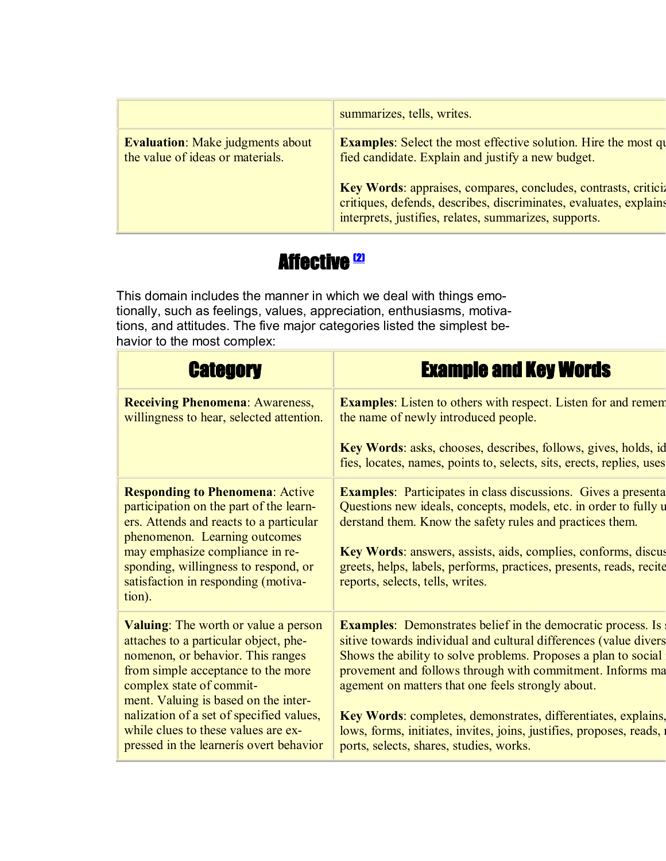|                                                                             | summarizes, tells, writes.                                                                                                                                                                   |
|-----------------------------------------------------------------------------|----------------------------------------------------------------------------------------------------------------------------------------------------------------------------------------------|
| <b>Evaluation:</b> Make judgments about<br>the value of ideas or materials. | <b>Examples:</b> Select the most effective solution. Hire the most qu<br>fied candidate. Explain and justify a new budget.                                                                   |
|                                                                             | Key Words: appraises, compares, concludes, contrasts, criticiz<br>critiques, defends, describes, discriminates, evaluates, explains<br>interprets, justifies, relates, summarizes, supports. |

# **Affective <sup>(2)</sup>**

This domain includes the manner in which we deal with things emotionally, such as feelings, values, appreciation, enthusiasms, motivations, and attitudes. The five major categories listed the simplest be havior to the most complex:

# Category Example and Key Words

| <b>Receiving Phenomena: Awareness,</b><br>willingness to hear, selected attention.                                                                                                                                                                                                                                                                                 | <b>Examples:</b> Listen to others with respect. Listen for and remem<br>the name of newly introduced people.                                                                                                                                                                                                                                                                                                                                                                                                     |
|--------------------------------------------------------------------------------------------------------------------------------------------------------------------------------------------------------------------------------------------------------------------------------------------------------------------------------------------------------------------|------------------------------------------------------------------------------------------------------------------------------------------------------------------------------------------------------------------------------------------------------------------------------------------------------------------------------------------------------------------------------------------------------------------------------------------------------------------------------------------------------------------|
|                                                                                                                                                                                                                                                                                                                                                                    | Key Words: asks, chooses, describes, follows, gives, holds, id<br>fies, locates, names, points to, selects, sits, erects, replies, uses                                                                                                                                                                                                                                                                                                                                                                          |
| <b>Responding to Phenomena: Active</b><br>participation on the part of the learn-<br>ers. Attends and reacts to a particular<br>phenomenon. Learning outcomes<br>may emphasize compliance in re-<br>sponding, willingness to respond, or<br>satisfaction in responding (motiva-<br>tion).                                                                          | <b>Examples:</b> Participates in class discussions. Gives a presenta<br>Questions new ideals, concepts, models, etc. in order to fully u<br>derstand them. Know the safety rules and practices them.<br>Key Words: answers, assists, aids, complies, conforms, discus<br>greets, helps, labels, performs, practices, presents, reads, recite<br>reports, selects, tells, writes.                                                                                                                                 |
| <b>Valuing:</b> The worth or value a person<br>attaches to a particular object, phe-<br>nomenon, or behavior. This ranges<br>from simple acceptance to the more<br>complex state of commit-<br>ment. Valuing is based on the inter-<br>nalization of a set of specified values,<br>while clues to these values are ex-<br>pressed in the learner is overt behavior | <b>Examples:</b> Demonstrates belief in the democratic process. Is<br>sitive towards individual and cultural differences (value divers<br>Shows the ability to solve problems. Proposes a plan to social<br>provement and follows through with commitment. Informs ma<br>agement on matters that one feels strongly about.<br>Key Words: completes, demonstrates, differentiates, explains,<br>lows, forms, initiates, invites, joins, justifies, proposes, reads, in<br>ports, selects, shares, studies, works. |
|                                                                                                                                                                                                                                                                                                                                                                    |                                                                                                                                                                                                                                                                                                                                                                                                                                                                                                                  |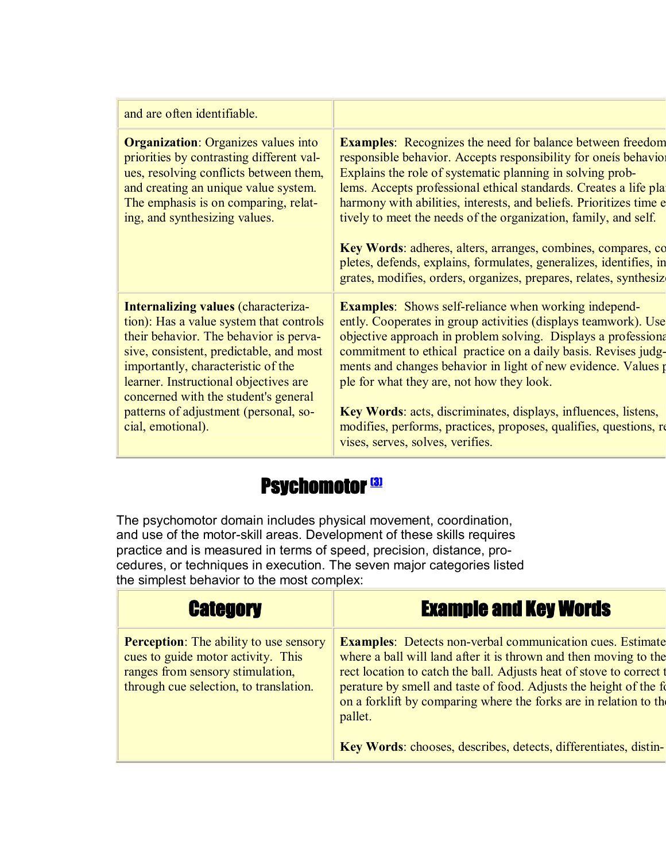#### and are often identifiable.

**Organization**: Organizes values into priorities by contrasting different val ues, resolving conflicts between them, and creating an unique value system. The emphasis is on comparing, relating, and synthesizing values.

**Internalizing values** (characterization): Has a value system that controls their behavior. The behavior is perva sive, consistent, predictable, and most importantly, characteristic of the learner. Instructional objectives are concerned with the student's general patterns of adjustment (personal, so cial, emotional).

**Examples:** Recognizes the need for balance between freedom responsible behavior. Accepts responsibility for oneís behavio Explains the role of systematic planning in solving problems. Accepts professional ethical standards. Creates a life pla harmony with abilities, interests, and beliefs. Prioritizes time effective tively to meet the needs of the organization, family, and self.

**Key Words**: adheres, alters, arranges, combines, compares, co pletes, defends, explains, formulates, generalizes, identifies, in grates, modifies, orders, organizes, prepares, relates, synthesizes.

**Examples:** Shows self-reliance when working independently. Cooperates in group activities (displays teamwork). Use objective approach in problem solving. Displays a professional commitment to ethical practice on a daily basis. Revises judgments and changes behavior in light of new evidence. Values per ple for what they are, not how they look.

**Key Words**: acts, discriminates, displays, influences, listens, modifies, performs, practices, proposes, qualifies, questions, re vises, serves, solves, verifies.

### **Psychomotor (3)**

The psychomotor domain includes physical movement, coordination, and use of the motor-skill areas. Development of these skills requires practice and is measured in terms of speed, precision, distance, procedures, or techniques in execution. The seven major categories listed the simplest behavior to the most complex:

**Perception**: The ability to use sensory cues to guide motor activity. This ranges from sensory stimulation, through cue selection, to translation.

# Category Example and Key Words

**Examples**: Detects non-verbal communication cues. Estimate where a ball will land after it is thrown and then moving to the rect location to catch the ball. Adjusts heat of stove to correct perature by smell and taste of food. Adjusts the height of the form on a forklift by comparing where the forks are in relation to the pallet.

**Key Words**: chooses, describes, detects, differentiates, distin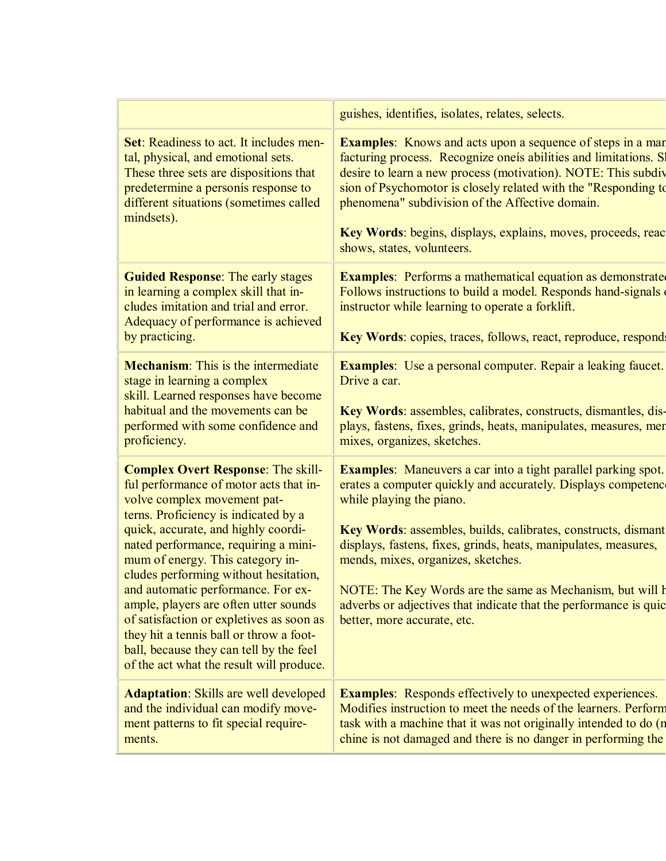**Set**: Readiness to act. It includes mental, physical, and emotional sets. These three sets are dispositions that predetermine a personís response to different situations (sometimes called mindsets).

**Guided Response**: The early stages in learning a complex skill that in cludes imitation and trial and error. Adequacy of performance is achieved by practicing.

**Mechanism**: This is the intermediate stage in learning a complex skill. Learned responses have become habitual and the movements can be performed with some confidence and proficiency.

**Complex Overt Response**: The skillful performance of motor acts that in volve complex movement pat terns. Proficiency is indicated by a quick, accurate, and highly coordi nated performance, requiring a mini mum of energy. This category in cludes performing without hesitation, and automatic performance. For ex ample, players are often utter sounds of satisfaction or expletives as soon as they hit a tennis ball or throw a football, because they can tell by the feel of the act what the result will produce.

**Adaptation**: Skills are well developed and the individual can modify move ment patterns to fit special requirements.

guishes, identifies, isolates, relates, selects.

**Examples:** Knows and acts upon a sequence of steps in a man facturing process. Recognize oneís abilities and limitations. S desire to learn a new process (motivation). NOTE: This subdiv sion of Psychomotor is closely related with the "Responding to phenomena" subdivision of the Affective domain.

Key Words: begins, displays, explains, moves, proceeds, reactionshows, states, volunteers.

**Examples**: Performs a mathematical equation as demonstrate Follows instructions to build a model. Responds hand-signals instructor while learning to operate a forklift.

**Key Words**: copies, traces, follows, react, reproduce, respond

**Examples**: Use a personal computer. Repair a leaking faucet. Drive a car.

**Key Words**: assembles, calibrates, constructs, dismantles, dis plays, fastens, fixes, grinds, heats, manipulates, measures, men mixes, organizes, sketches.

**Examples**: Maneuvers a car into a tight parallel parking spot. erates a computer quickly and accurately. Displays competence while playing the piano.

**Key Words**: assembles, builds, calibrates, constructs, dismant displays, fastens, fixes, grinds, heats, manipulates, measures, mends, mixes, organizes, sketches.

NOTE: The Key Words are the same as Mechanism, but will have adverbs or adjectives that indicate that the performance is quic better, more accurate, etc.

**Examples**: Responds effectively to unexpected experiences. Modifies instruction to meet the needs of the learners. Perform task with a machine that it was not originally intended to do (r chine is not damaged and there is no danger in performing the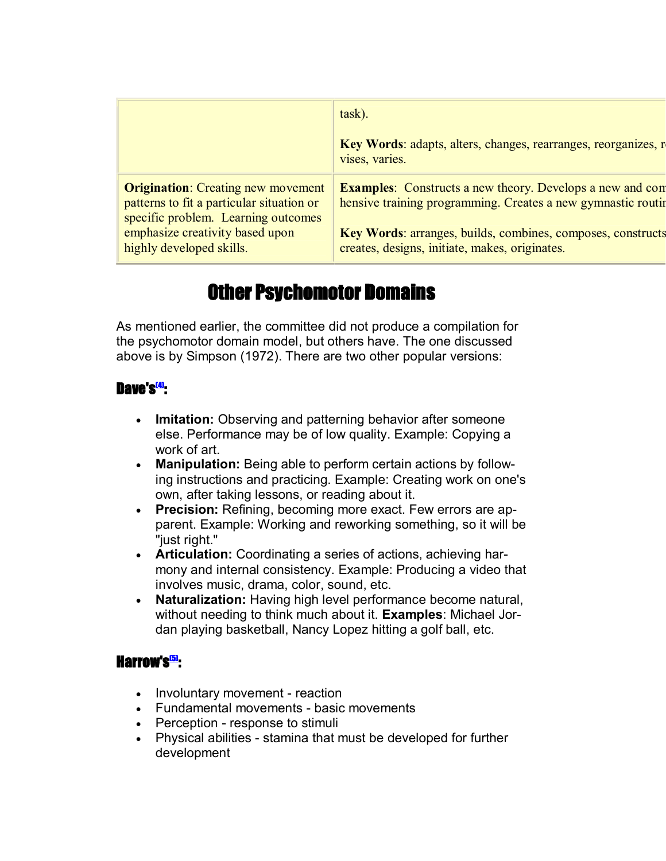|                                                                                                                               | task).                                                                                                                           |
|-------------------------------------------------------------------------------------------------------------------------------|----------------------------------------------------------------------------------------------------------------------------------|
|                                                                                                                               | Key Words: adapts, alters, changes, rearranges, reorganizes, r<br>vises, varies.                                                 |
| <b>Origination:</b> Creating new movement<br>patterns to fit a particular situation or<br>specific problem. Learning outcomes | <b>Examples:</b> Constructs a new theory. Develops a new and com<br>hensive training programming. Creates a new gymnastic routin |
| emphasize creativity based upon<br>highly developed skills.                                                                   | Key Words: arranges, builds, combines, composes, constructs<br>creates, designs, initiate, makes, originates.                    |

# Other Psychomotor Domains

As mentioned earlier, the committee did not produce a compilation for the psychomotor domain model, but others have. The one discussed above is by Simpson (1972). There are two other popular versions:

### Dave's<del><sup>g</sup>.</del>

- · **Imitation:** Observing and patterning behavior after someone else. Performance may be of low quality. Example: Copying a work of art.
- · **Manipulation:** Being able to perform certain actions by following instructions and practicing. Example: Creating work on one's own, after taking lessons, or reading about it.
- · **Precision:** Refining, becoming more exact. Few errors are apparent. Example: Working and reworking something, so it will be "just right."
- · **Articulation:** Coordinating a series of actions, achieving har mony and internal consistency. Example: Producing a video that involves music, drama, color, sound, etc.
- · **Naturalization:** Having high level performance become natural, without needing to think much about it. **Examples**: Michael Jor dan playing basketball, Nancy Lopez hitting a golf ball, etc.

#### Harrow's<mark>.5):</mark>

- Involuntary movement reaction
- Fundamental movements basic movements
- Perception response to stimuli
- Physical abilities stamina that must be developed for further development